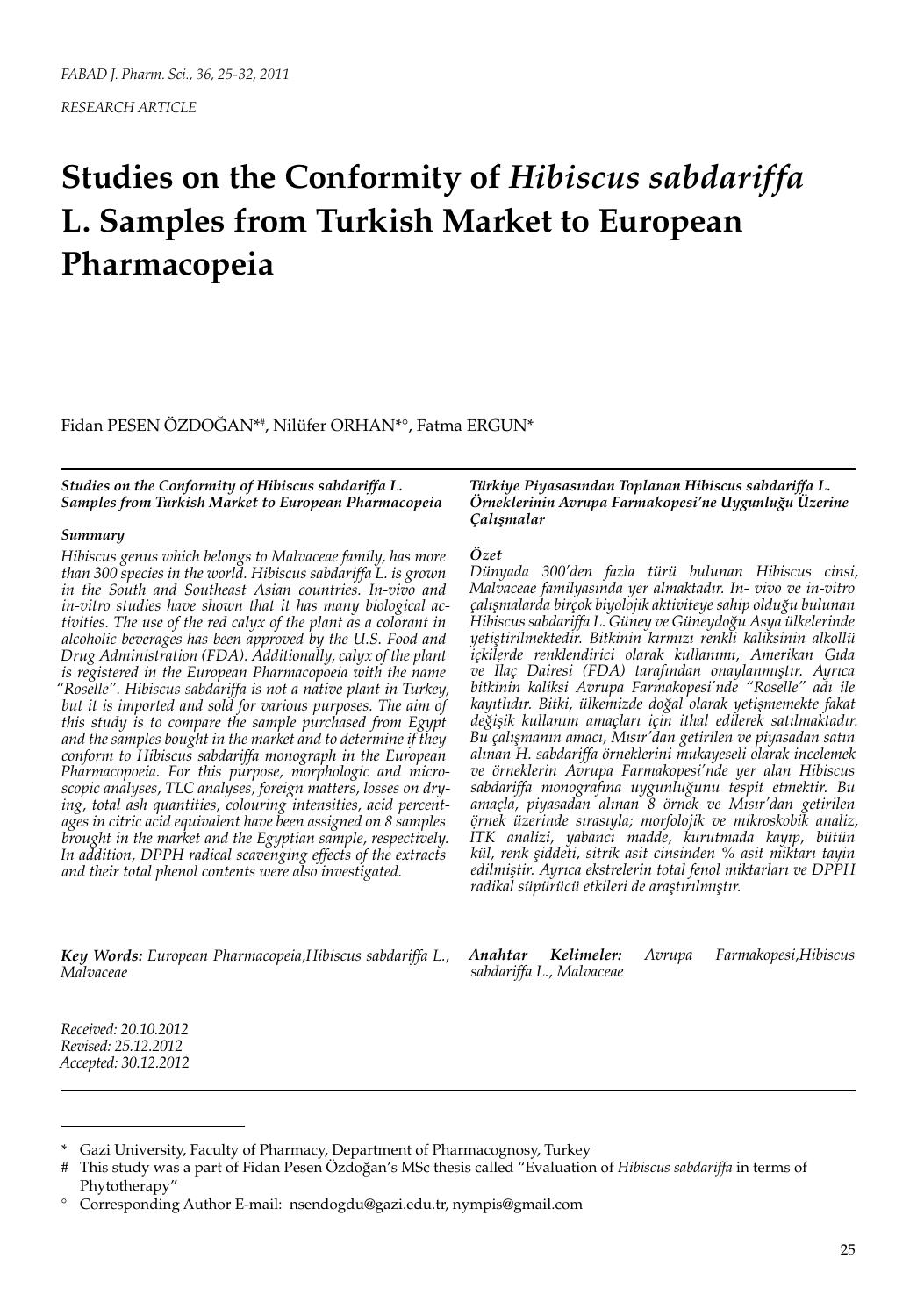# **Studies on the Conformity of** *Hibiscus sabdariffa* **L. Samples from Turkish Market to European Pharmacopeia**

Fidan PESEN ÖZDOĞAN\*# , Nilüfer ORHAN\*°, Fatma ERGUN\*

*Studies on the Conformity of Hibiscus sabdariffa L. Samples from Turkish Market to European Pharmacopeia*

#### *Summary*

*Hibiscus genus which belongs to Malvaceae family, has more than 300 species in the world. Hibiscus sabdariffa L. is grown in the South and Southeast Asian countries. In-vivo and in-vitro studies have shown that it has many biological activities. The use of the red calyx of the plant as a colorant in alcoholic beverages has been approved by the U.S. Food and Drug Administration (FDA). Additionally, calyx of the plant is registered in the European Pharmacopoeia with the name "Roselle". Hibiscus sabdariffa is not a native plant in Turkey, but it is imported and sold for various purposes. The aim of this study is to compare the sample purchased from Egypt and the samples bought in the market and to determine if they conform to Hibiscus sabdariffa monograph in the European Pharmacopoeia. For this purpose, morphologic and microscopic analyses, TLC analyses, foreign matters, losses on drying, total ash quantities, colouring intensities, acid percentages in citric acid equivalent have been assigned on 8 samples brought in the market and the Egyptian sample, respectively. In addition, DPPH radical scavenging effects of the extracts and their total phenol contents were also investigated.*

*Türkiye Piyasasından Toplanan Hibiscus sabdariffa L. Örneklerinin Avrupa Farmakopesi'ne Uygunluğu Üzerine Çalışmalar*

#### *Özet*

*Dünyada 300'den fazla türü bulunan Hibiscus cinsi, Malvaceae familyasında yer almaktadır. In- vivo ve in-vitro çalışmalarda birçok biyolojik aktiviteye sahip olduğu bulunan Hibiscus sabdariffa L. Güney ve Güneydoğu Asya ülkelerinde yetiştirilmektedir. Bitkinin kırmızı renkli kaliksinin alkollü içkilerde renklendirici olarak kullanımı, Amerikan Gıda ve İlaç Dairesi (FDA) tarafından onaylanmıştır. Ayrıca bitkinin kaliksi Avrupa Farmakopesi'nde "Roselle" adı ile kayıtlıdır. Bitki, ülkemizde doğal olarak yetişmemekte fakat değişik kullanım amaçları için ithal edilerek satılmaktadır. Bu çalışmanın amacı, Mısır'dan getirilen ve piyasadan satın alınan H. sabdariffa örneklerini mukayeseli olarak incelemek ve örneklerin Avrupa Farmakopesi'nde yer alan Hibiscus sabdariffa monografına uygunluğunu tespit etmektir. Bu amaçla, piyasadan alınan 8 örnek ve Mısır'dan getirilen örnek üzerinde sırasıyla; morfolojik ve mikroskobik analiz, İTK analizi, yabancı madde, kurutmada kayıp, bütün kül, renk şiddeti, sitrik asit cinsinden % asit miktarı tayin edilmiştir. Ayrıca ekstrelerin total fenol miktarları ve DPPH radikal süpürücü etkileri de araştırılmıştır.*

*Key Words: European Pharmacopeia,Hibiscus sabdariffa L., Malvaceae*

*Anahtar Kelimeler: Avrupa Farmakopesi,Hibiscus sabdariffa L., Malvaceae*

*Received: 20.10.2012 Revised: 25.12.2012 Accepted: 30.12.2012*

Gazi University, Faculty of Pharmacy, Department of Pharmacognosy, Turkey

<sup>#</sup> This study was a part of Fidan Pesen Özdoğan's MSc thesis called "Evaluation of *Hibiscus sabdariffa* in terms of Phytotherapy"

<sup>°</sup> Corresponding Author E-mail: nsendogdu@gazi.edu.tr, nympis@gmail.com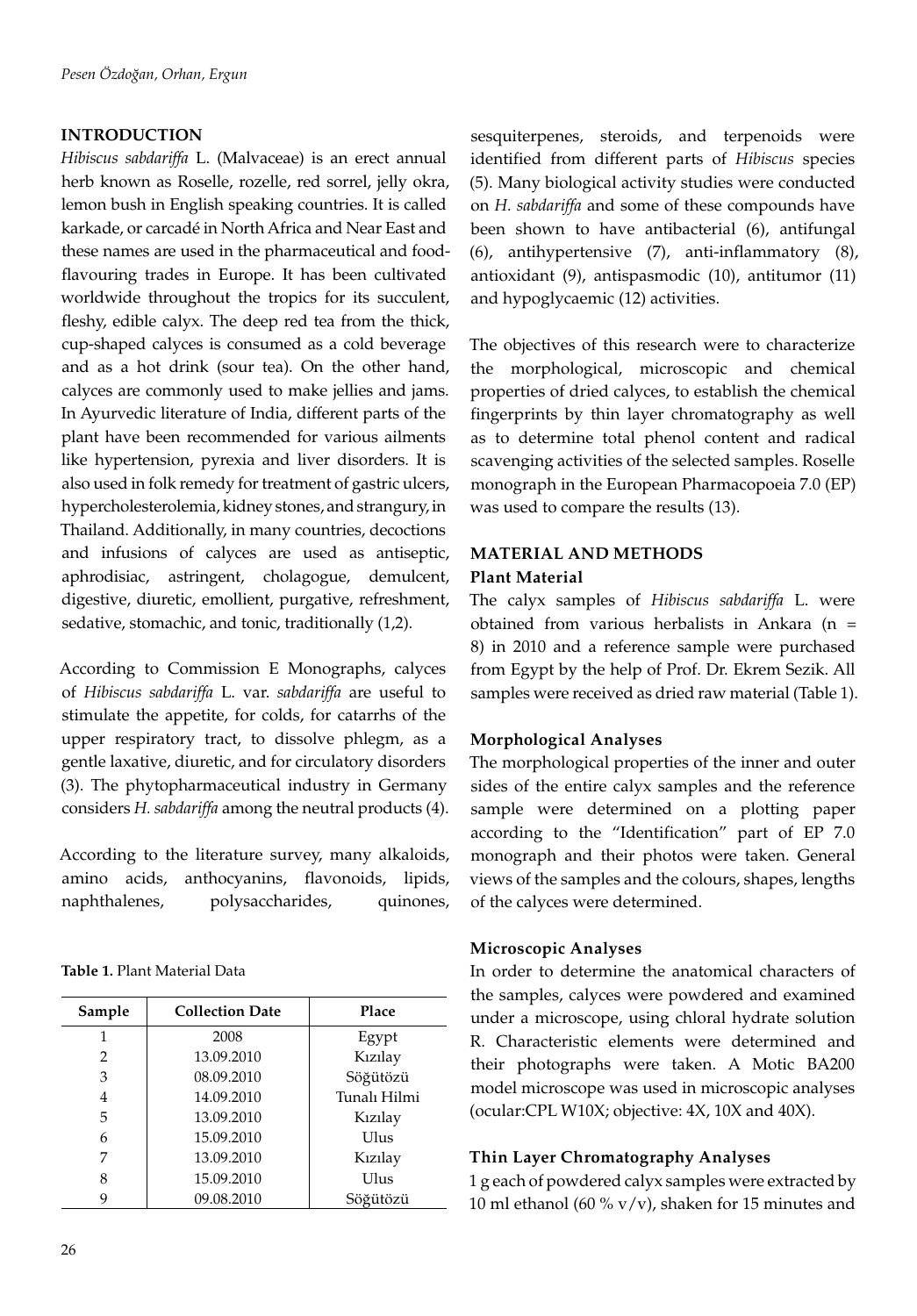## **INTRODUCTION**

*Hibiscus sabdariffa* L. (Malvaceae) is an erect annual herb known as Roselle, rozelle, red sorrel, jelly okra, lemon bush in English speaking countries. It is called karkade, or carcadé in North Africa and Near East and these names are used in the pharmaceutical and foodflavouring trades in Europe. It has been cultivated worldwide throughout the tropics for its succulent, fleshy, edible calyx. The deep red tea from the thick, cup-shaped calyces is consumed as a cold beverage and as a hot drink (sour tea). On the other hand, calyces are commonly used to make jellies and jams. In Ayurvedic literature of India, different parts of the plant have been recommended for various ailments like hypertension, pyrexia and liver disorders. It is also used in folk remedy for treatment of gastric ulcers, hypercholesterolemia, kidney stones, and strangury, in Thailand. Additionally, in many countries, decoctions and infusions of calyces are used as antiseptic, aphrodisiac, astringent, cholagogue, demulcent, digestive, diuretic, emollient, purgative, refreshment, sedative, stomachic, and tonic, traditionally (1,2).

According to Commission E Monographs, calyces of *Hibiscus sabdariffa* L. var. *sabdariffa* are useful to stimulate the appetite, for colds, for catarrhs of the upper respiratory tract, to dissolve phlegm, as a gentle laxative, diuretic, and for circulatory disorders (3). The phytopharmaceutical industry in Germany considers *H. sabdariffa* among the neutral products (4).

According to the literature survey, many alkaloids, amino acids, anthocyanins, flavonoids, lipids, naphthalenes, polysaccharides, quinones,

**Table 1.** Plant Material Data

| Sample | <b>Collection Date</b> | Place        |  |
|--------|------------------------|--------------|--|
|        | 2008                   | Egypt        |  |
| 2      | 13.09.2010             | Kızılay      |  |
| 3      | 08.09.2010             | Söğütözü     |  |
| 4      | 14.09.2010             | Tunalı Hilmi |  |
| 5      | 13.09.2010             | Kızılay      |  |
| 6      | 15.09.2010             | Ulus         |  |
| 7      | 13.09.2010             | Kızılay      |  |
| 8      | 15.09.2010             | Ulus         |  |
| 9      | 09.08.2010             | Söğütözü     |  |

sesquiterpenes, steroids, and terpenoids were identified from different parts of *Hibiscus* species (5). Many biological activity studies were conducted on *H. sabdariffa* and some of these compounds have been shown to have antibacterial (6), antifungal (6), antihypertensive (7), anti-inflammatory (8), antioxidant (9), antispasmodic (10), antitumor (11) and hypoglycaemic (12) activities.

The objectives of this research were to characterize the morphological, microscopic and chemical properties of dried calyces, to establish the chemical fingerprints by thin layer chromatography as well as to determine total phenol content and radical scavenging activities of the selected samples. Roselle monograph in the European Pharmacopoeia 7.0 (EP) was used to compare the results (13).

# **MATERIAL AND METHODS Plant Material**

The calyx samples of *Hibiscus sabdariffa* L. were obtained from various herbalists in Ankara (n = 8) in 2010 and a reference sample were purchased from Egypt by the help of Prof. Dr. Ekrem Sezik. All samples were received as dried raw material (Table 1).

### **Morphological Analyses**

The morphological properties of the inner and outer sides of the entire calyx samples and the reference sample were determined on a plotting paper according to the "Identification" part of EP 7.0 monograph and their photos were taken. General views of the samples and the colours, shapes, lengths of the calyces were determined.

### **Microscopic Analyses**

In order to determine the anatomical characters of the samples, calyces were powdered and examined under a microscope, using chloral hydrate solution R. Characteristic elements were determined and their photographs were taken. A Motic BA200 model microscope was used in microscopic analyses (ocular:CPL W10X; objective: 4X, 10X and 40X).

# **Thin Layer Chromatography Analyses**

1 g each of powdered calyx samples were extracted by 10 ml ethanol (60 % v/v), shaken for 15 minutes and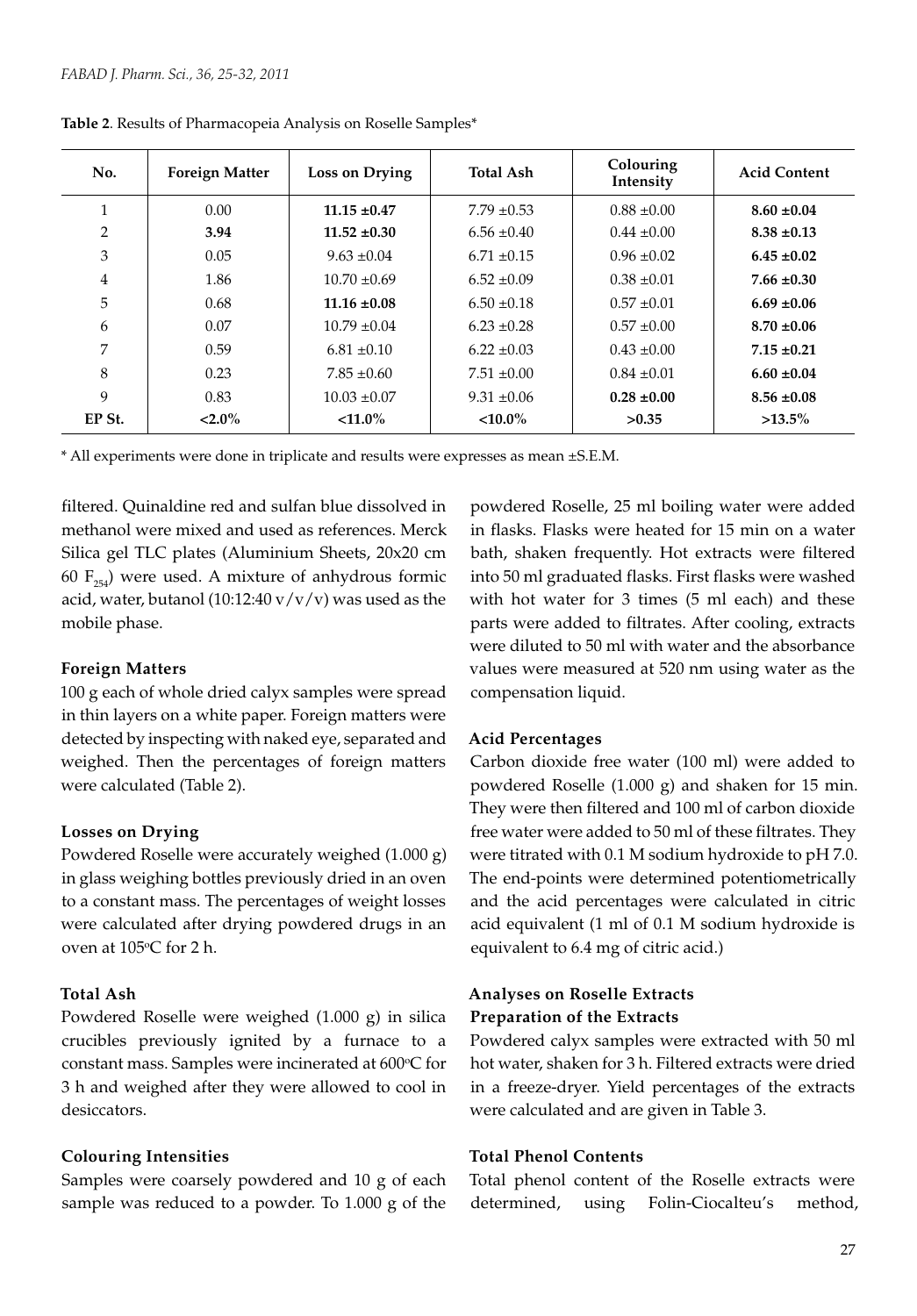| No.    | <b>Foreign Matter</b> | Loss on Drying   | <b>Total Ash</b> | Colouring<br>Intensity | Acid Content    |
|--------|-----------------------|------------------|------------------|------------------------|-----------------|
|        | 0.00                  | $11.15 \pm 0.47$ | $7.79 \pm 0.53$  | $0.88 \pm 0.00$        | $8.60 \pm 0.04$ |
| 2      | 3.94                  | $11.52 \pm 0.30$ | $6.56 \pm 0.40$  | $0.44 \pm 0.00$        | $8.38 \pm 0.13$ |
| 3      | 0.05                  | $9.63 \pm 0.04$  | $6.71 \pm 0.15$  | $0.96 \pm 0.02$        | $6.45 \pm 0.02$ |
| 4      | 1.86                  | $10.70 \pm 0.69$ | $6.52 \pm 0.09$  | $0.38 \pm 0.01$        | $7.66 \pm 0.30$ |
| 5      | 0.68                  | $11.16 \pm 0.08$ | $6.50 \pm 0.18$  | $0.57 \pm 0.01$        | $6.69 \pm 0.06$ |
| 6      | 0.07                  | $10.79 \pm 0.04$ | $6.23 \pm 0.28$  | $0.57 \pm 0.00$        | $8.70 \pm 0.06$ |
| 7      | 0.59                  | $6.81 \pm 0.10$  | $6.22 \pm 0.03$  | $0.43 \pm 0.00$        | $7.15 \pm 0.21$ |
| 8      | 0.23                  | $7.85 \pm 0.60$  | $7.51 \pm 0.00$  | $0.84 \pm 0.01$        | $6.60 \pm 0.04$ |
| 9      | 0.83                  | $10.03 \pm 0.07$ | $9.31 \pm 0.06$  | $0.28 \pm 0.00$        | $8.56 \pm 0.08$ |
| EP St. | $< 2.0\%$             | $< 11.0\%$       | $<$ 10.0%        | >0.35                  | $>13.5\%$       |

**Table 2**. Results of Pharmacopeia Analysis on Roselle Samples\*

\* All experiments were done in triplicate and results were expresses as mean ±S.E.M.

filtered. Quinaldine red and sulfan blue dissolved in methanol were mixed and used as references. Merck Silica gel TLC plates (Aluminium Sheets, 20x20 cm 60  $F_{254}$ ) were used. A mixture of anhydrous formic acid, water, butanol (10:12:40  $v/v/v$ ) was used as the mobile phase.

### **Foreign Matters**

100 g each of whole dried calyx samples were spread in thin layers on a white paper. Foreign matters were detected by inspecting with naked eye, separated and weighed. Then the percentages of foreign matters were calculated (Table 2).

### **Losses on Drying**

Powdered Roselle were accurately weighed (1.000 g) in glass weighing bottles previously dried in an oven to a constant mass. The percentages of weight losses were calculated after drying powdered drugs in an oven at 105°C for 2 h.

#### **Total Ash**

Powdered Roselle were weighed (1.000 g) in silica crucibles previously ignited by a furnace to a constant mass. Samples were incinerated at  $600^{\circ}$ C for 3 h and weighed after they were allowed to cool in desiccators.

### **Colouring Intensities**

Samples were coarsely powdered and 10 g of each sample was reduced to a powder. To 1.000 g of the

powdered Roselle, 25 ml boiling water were added in flasks. Flasks were heated for 15 min on a water bath, shaken frequently. Hot extracts were filtered into 50 ml graduated flasks. First flasks were washed with hot water for 3 times (5 ml each) and these parts were added to filtrates. After cooling, extracts were diluted to 50 ml with water and the absorbance values were measured at 520 nm using water as the compensation liquid.

### **Acid Percentages**

Carbon dioxide free water (100 ml) were added to powdered Roselle (1.000 g) and shaken for 15 min. They were then filtered and 100 ml of carbon dioxide free water were added to 50 ml of these filtrates. They were titrated with 0.1 M sodium hydroxide to pH 7.0. The end-points were determined potentiometrically and the acid percentages were calculated in citric acid equivalent (1 ml of 0.1 M sodium hydroxide is equivalent to 6.4 mg of citric acid.)

# **Analyses on Roselle Extracts Preparation of the Extracts**

Powdered calyx samples were extracted with 50 ml hot water, shaken for 3 h. Filtered extracts were dried in a freeze-dryer. Yield percentages of the extracts were calculated and are given in Table 3.

### **Total Phenol Contents**

Total phenol content of the Roselle extracts were determined, using Folin-Ciocalteu's method,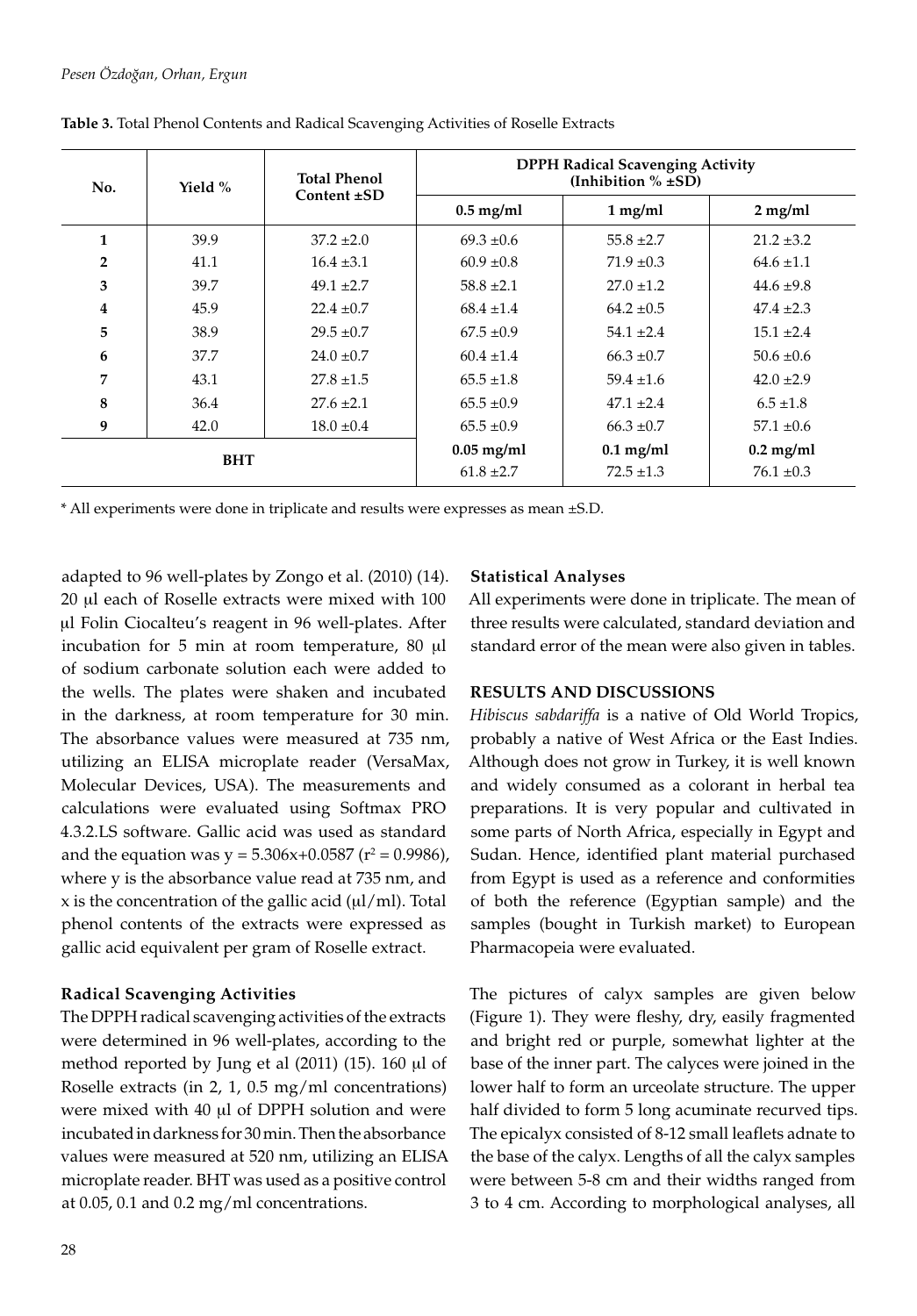| No.            | Yield %    | Total Phenol<br>Content $\pm SD$ | <b>DPPH Radical Scavenging Activity</b><br>(Inhibition $% \pm SD$ ) |                |                |  |  |  |
|----------------|------------|----------------------------------|---------------------------------------------------------------------|----------------|----------------|--|--|--|
|                |            |                                  | $0.5$ mg/ml                                                         | $1$ mg/ml      | $2$ mg/ml      |  |  |  |
| 1              | 39.9       | $37.2 \pm 2.0$                   | $69.3 \pm 0.6$                                                      | $55.8 \pm 2.7$ | $21.2 \pm 3.2$ |  |  |  |
| $\overline{2}$ | 41.1       | $16.4 \pm 3.1$                   | $60.9 \pm 0.8$                                                      | $71.9 \pm 0.3$ | $64.6 \pm 1.1$ |  |  |  |
| 3              | 39.7       | $49.1 \pm 2.7$                   | $58.8 \pm 2.1$                                                      | $27.0 \pm 1.2$ | $44.6 \pm 9.8$ |  |  |  |
| 4              | 45.9       | $22.4 \pm 0.7$                   | $68.4 \pm 1.4$                                                      | $64.2 \pm 0.5$ | $47.4 \pm 2.3$ |  |  |  |
| 5              | 38.9       | $29.5 \pm 0.7$                   | $67.5 \pm 0.9$                                                      | $54.1 \pm 2.4$ | $15.1 \pm 2.4$ |  |  |  |
| 6              | 37.7       | $24.0 \pm 0.7$                   | $60.4 \pm 1.4$                                                      | $66.3 \pm 0.7$ | $50.6 \pm 0.6$ |  |  |  |
| 7              | 43.1       | $27.8 \pm 1.5$                   | $65.5 \pm 1.8$                                                      | $59.4 \pm 1.6$ | $42.0 \pm 2.9$ |  |  |  |
| 8              | 36.4       | $27.6 \pm 2.1$                   | $65.5 \pm 0.9$                                                      | $47.1 \pm 2.4$ | $6.5 \pm 1.8$  |  |  |  |
| 9              | 42.0       | $18.0 \pm 0.4$                   | $65.5 \pm 0.9$                                                      | $66.3 \pm 0.7$ | $57.1 \pm 0.6$ |  |  |  |
|                | <b>BHT</b> |                                  | $0.05$ mg/ml                                                        | $0.1$ mg/ml    | $0.2$ mg/ml    |  |  |  |
|                |            |                                  | $61.8 \pm 2.7$                                                      | $72.5 \pm 1.3$ | $76.1 \pm 0.3$ |  |  |  |

**Table 3.** Total Phenol Contents and Radical Scavenging Activities of Roselle Extracts

\* All experiments were done in triplicate and results were expresses as mean ±S.D.

adapted to 96 well-plates by Zongo et al. (2010) (14). 20 ml each of Roselle extracts were mixed with 100 ul Folin Ciocalteu's reagent in 96 well-plates. After incubation for 5 min at room temperature, 80 µl of sodium carbonate solution each were added to the wells. The plates were shaken and incubated in the darkness, at room temperature for 30 min. The absorbance values were measured at 735 nm, utilizing an ELISA microplate reader (VersaMax, Molecular Devices, USA). The measurements and calculations were evaluated using Softmax PRO 4.3.2.LS software. Gallic acid was used as standard and the equation was  $y = 5.306x + 0.0587$  ( $r^2 = 0.9986$ ), where y is the absorbance value read at 735 nm, and  $x$  is the concentration of the gallic acid ( $\mu$ l/ml). Total phenol contents of the extracts were expressed as gallic acid equivalent per gram of Roselle extract.

## **Radical Scavenging Activities**

The DPPH radical scavenging activities of the extracts were determined in 96 well-plates, according to the method reported by Jung et al (2011) (15). 160 µl of Roselle extracts (in 2, 1, 0.5 mg/ml concentrations) were mixed with 40 µl of DPPH solution and were incubated in darkness for 30 min. Then the absorbance values were measured at 520 nm, utilizing an ELISA microplate reader. BHT was used as a positive control at 0.05, 0.1 and 0.2 mg/ml concentrations.

#### **Statistical Analyses**

All experiments were done in triplicate. The mean of three results were calculated, standard deviation and standard error of the mean were also given in tables.

#### **RESULTS AND DISCUSSIONS**

*Hibiscus sabdariffa* is a native of Old World Tropics, probably a native of West Africa or the East Indies. Although does not grow in Turkey, it is well known and widely consumed as a colorant in herbal tea preparations. It is very popular and cultivated in some parts of North Africa, especially in Egypt and Sudan. Hence, identified plant material purchased from Egypt is used as a reference and conformities of both the reference (Egyptian sample) and the samples (bought in Turkish market) to European Pharmacopeia were evaluated.

The pictures of calyx samples are given below (Figure 1). They were fleshy, dry, easily fragmented and bright red or purple, somewhat lighter at the base of the inner part. The calyces were joined in the lower half to form an urceolate structure. The upper half divided to form 5 long acuminate recurved tips. The epicalyx consisted of 8-12 small leaflets adnate to the base of the calyx. Lengths of all the calyx samples were between 5-8 cm and their widths ranged from 3 to 4 cm. According to morphological analyses, all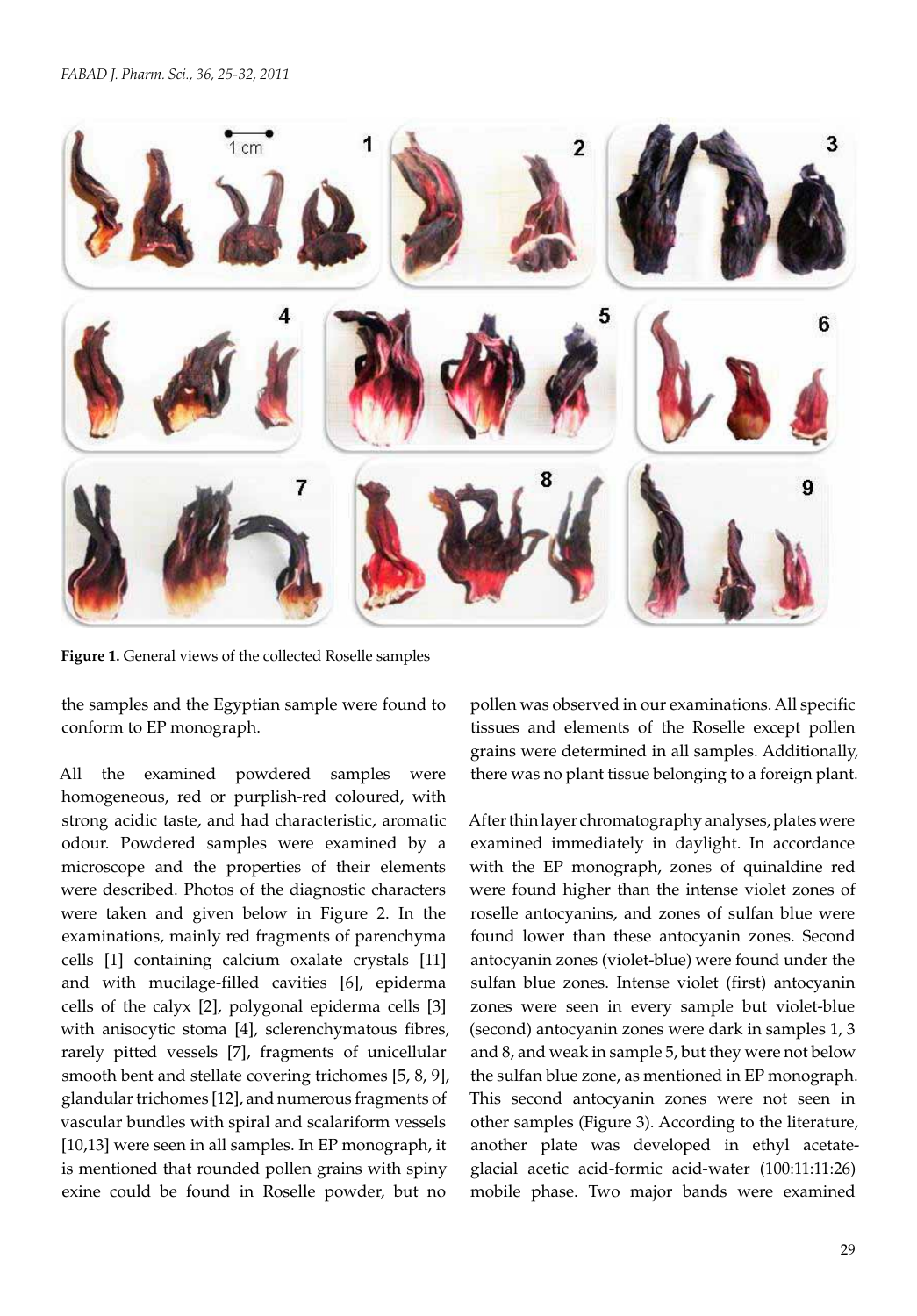

**Figure 1.** General views of the collected Roselle samples

the samples and the Egyptian sample were found to conform to EP monograph.

All the examined powdered samples were homogeneous, red or purplish-red coloured, with strong acidic taste, and had characteristic, aromatic odour. Powdered samples were examined by a microscope and the properties of their elements were described. Photos of the diagnostic characters were taken and given below in Figure 2. In the examinations, mainly red fragments of parenchyma cells [1] containing calcium oxalate crystals [11] and with mucilage-filled cavities [6], epiderma cells of the calyx [2], polygonal epiderma cells [3] with anisocytic stoma [4], sclerenchymatous fibres, rarely pitted vessels [7], fragments of unicellular smooth bent and stellate covering trichomes [5, 8, 9], glandular trichomes [12], and numerous fragments of vascular bundles with spiral and scalariform vessels [10,13] were seen in all samples. In EP monograph, it is mentioned that rounded pollen grains with spiny exine could be found in Roselle powder, but no

pollen was observed in our examinations. All specific tissues and elements of the Roselle except pollen grains were determined in all samples. Additionally, there was no plant tissue belonging to a foreign plant.

After thin layer chromatography analyses, plates were examined immediately in daylight. In accordance with the EP monograph, zones of quinaldine red were found higher than the intense violet zones of roselle antocyanins, and zones of sulfan blue were found lower than these antocyanin zones. Second antocyanin zones (violet-blue) were found under the sulfan blue zones. Intense violet (first) antocyanin zones were seen in every sample but violet-blue (second) antocyanin zones were dark in samples 1, 3 and 8, and weak in sample 5, but they were not below the sulfan blue zone, as mentioned in EP monograph. This second antocyanin zones were not seen in other samples (Figure 3). According to the literature, another plate was developed in ethyl acetateglacial acetic acid-formic acid-water (100:11:11:26) mobile phase. Two major bands were examined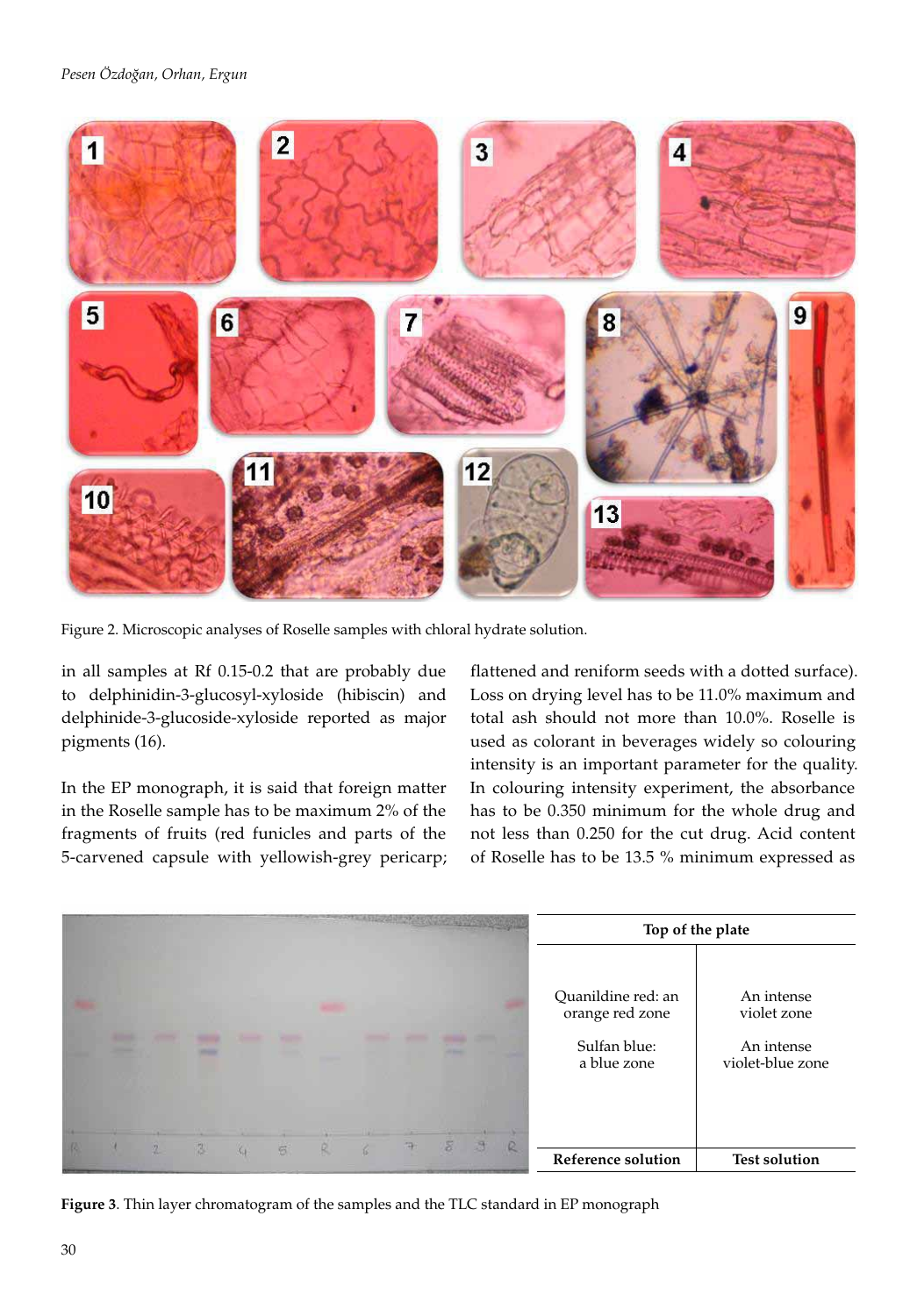

Figure 2. Microscopic analyses of Roselle samples with chloral hydrate solution.

in all samples at Rf 0.15-0.2 that are probably due to delphinidin-3-glucosyl-xyloside (hibiscin) and delphinide-3-glucoside-xyloside reported as major pigments (16).

In the EP monograph, it is said that foreign matter in the Roselle sample has to be maximum 2% of the fragments of fruits (red funicles and parts of the 5-carvened capsule with yellowish-grey pericarp;

flattened and reniform seeds with a dotted surface). Loss on drying level has to be 11.0% maximum and total ash should not more than 10.0%. Roselle is used as colorant in beverages widely so colouring intensity is an important parameter for the quality. In colouring intensity experiment, the absorbance has to be 0.350 minimum for the whole drug and not less than 0.250 for the cut drug. Acid content of Roselle has to be 13.5 % minimum expressed as

|        |  |  |   |  | Top of the plate |  |                                                                      |                                                             |
|--------|--|--|---|--|------------------|--|----------------------------------------------------------------------|-------------------------------------------------------------|
|        |  |  |   |  |                  |  | Quanildine red: an<br>orange red zone<br>Sulfan blue:<br>a blue zone | An intense<br>violet zone<br>An intense<br>violet-blue zone |
| $22 -$ |  |  | 树 |  | 净                |  | Reference solution                                                   | <b>Test solution</b>                                        |

**Figure 3**. Thin layer chromatogram of the samples and the TLC standard in EP monograph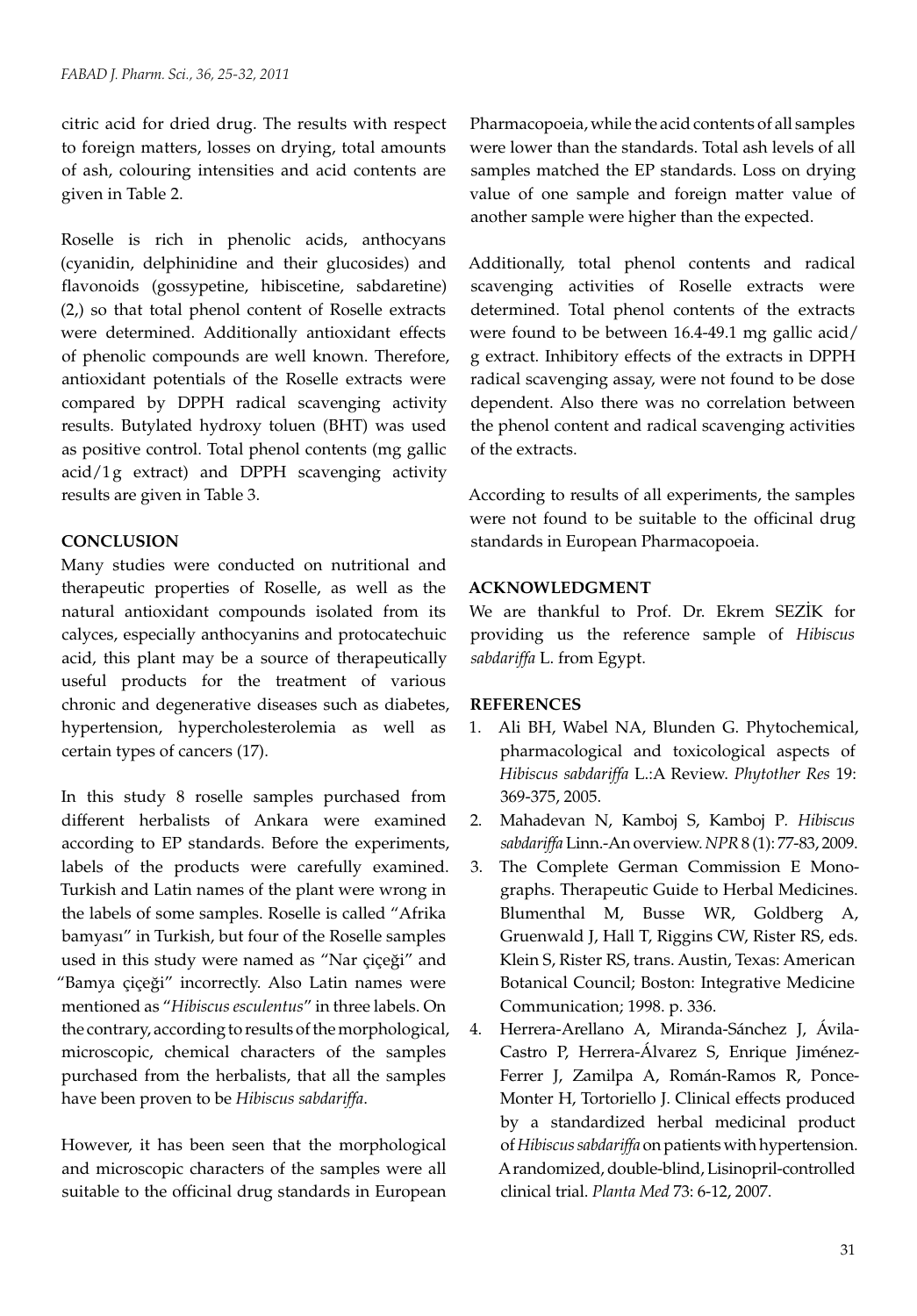citric acid for dried drug. The results with respect to foreign matters, losses on drying, total amounts of ash, colouring intensities and acid contents are given in Table 2.

Roselle is rich in phenolic acids, anthocyans (cyanidin, delphinidine and their glucosides) and flavonoids (gossypetine, hibiscetine, sabdaretine) (2,) so that total phenol content of Roselle extracts were determined. Additionally antioxidant effects of phenolic compounds are well known. Therefore, antioxidant potentials of the Roselle extracts were compared by DPPH radical scavenging activity results. Butylated hydroxy toluen (BHT) was used as positive control. Total phenol contents (mg gallic acid/1g extract) and DPPH scavenging activity results are given in Table 3.

# **CONCLUSION**

Many studies were conducted on nutritional and therapeutic properties of Roselle, as well as the natural antioxidant compounds isolated from its calyces, especially anthocyanins and protocatechuic acid, this plant may be a source of therapeutically useful products for the treatment of various chronic and degenerative diseases such as diabetes, hypertension, hypercholesterolemia as well as certain types of cancers (17).

In this study 8 roselle samples purchased from different herbalists of Ankara were examined according to EP standards. Before the experiments, labels of the products were carefully examined. Turkish and Latin names of the plant were wrong in the labels of some samples. Roselle is called "Afrika bamyası" in Turkish, but four of the Roselle samples used in this study were named as "Nar çiçeği" and "Bamya çiçeği" incorrectly. Also Latin names were mentioned as "*Hibiscus esculentus*" in three labels. On the contrary, according to results of the morphological, microscopic, chemical characters of the samples purchased from the herbalists, that all the samples have been proven to be *Hibiscus sabdariffa*.

However, it has been seen that the morphological and microscopic characters of the samples were all suitable to the officinal drug standards in European Pharmacopoeia, while the acid contents of all samples were lower than the standards. Total ash levels of all samples matched the EP standards. Loss on drying value of one sample and foreign matter value of another sample were higher than the expected.

Additionally, total phenol contents and radical scavenging activities of Roselle extracts were determined. Total phenol contents of the extracts were found to be between 16.4-49.1 mg gallic acid/ g extract. Inhibitory effects of the extracts in DPPH radical scavenging assay, were not found to be dose dependent. Also there was no correlation between the phenol content and radical scavenging activities of the extracts.

According to results of all experiments, the samples were not found to be suitable to the officinal drug standards in European Pharmacopoeia.

# **ACKNOWLEDGMENT**

We are thankful to Prof. Dr. Ekrem SEZİK for providing us the reference sample of *Hibiscus sabdariffa* L. from Egypt.

# **REFERENCES**

- 1. Ali BH, Wabel NA, Blunden G. Phytochemical, pharmacological and toxicological aspects of *Hibiscus sabdariffa* L.:A Review. *Phytother Res* 19: 369-375, 2005.
- 2. Mahadevan N, Kamboj S, Kamboj P*. Hibiscus sabdariffa* Linn.-An overview. *NPR* 8 (1): 77-83, 2009.
- 3. The Complete German Commission E Monographs. Therapeutic Guide to Herbal Medicines. Blumenthal M, Busse WR, Goldberg A, Gruenwald J, Hall T, Riggins CW, Rister RS, eds. Klein S, Rister RS, trans. Austin, Texas: American Botanical Council; Boston: Integrative Medicine Communication; 1998. p. 336.
- 4. Herrera-Arellano A, Miranda-Sánchez J, Ávila-Castro P, Herrera-Álvarez S, Enrique Jiménez-Ferrer J, Zamilpa A, Román-Ramos R, Ponce-Monter H, Tortoriello J. Clinical effects produced by a standardized herbal medicinal product of *Hibiscus sabdariffa* on patients with hypertension. A randomized, double-blind, Lisinopril-controlled clinical trial. *Planta Med* 73: 6-12, 2007.